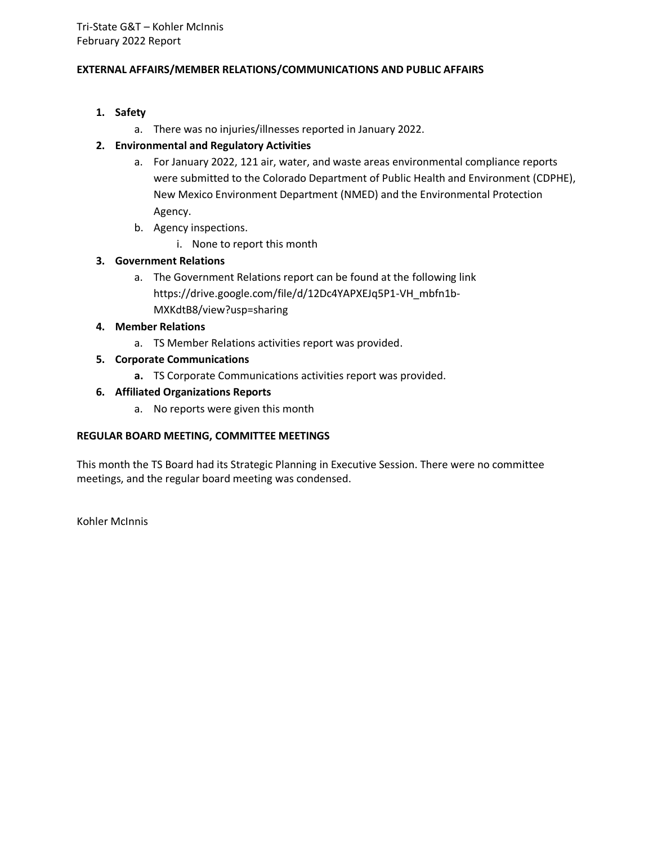#### **EXTERNAL AFFAIRS/MEMBER RELATIONS/COMMUNICATIONS AND PUBLIC AFFAIRS**

# **1. Safety**

a. There was no injuries/illnesses reported in January 2022.

#### **2. Environmental and Regulatory Activities**

- a. For January 2022, 121 air, water, and waste areas environmental compliance reports were submitted to the Colorado Department of Public Health and Environment (CDPHE), New Mexico Environment Department (NMED) and the Environmental Protection Agency.
- b. Agency inspections.
	- i. None to report this month

# **3. Government Relations**

a. The Government Relations report can be found at the following link https://drive.google.com/file/d/12Dc4YAPXEJq5P1-VH\_mbfn1b-MXKdtB8/view?usp=sharing

#### **4. Member Relations**

- a. TS Member Relations activities report was provided.
- **5. Corporate Communications**
	- **a.** TS Corporate Communications activities report was provided.

#### **6. Affiliated Organizations Reports**

a. No reports were given this month

#### **REGULAR BOARD MEETING, COMMITTEE MEETINGS**

This month the TS Board had its Strategic Planning in Executive Session. There were no committee meetings, and the regular board meeting was condensed.

Kohler McInnis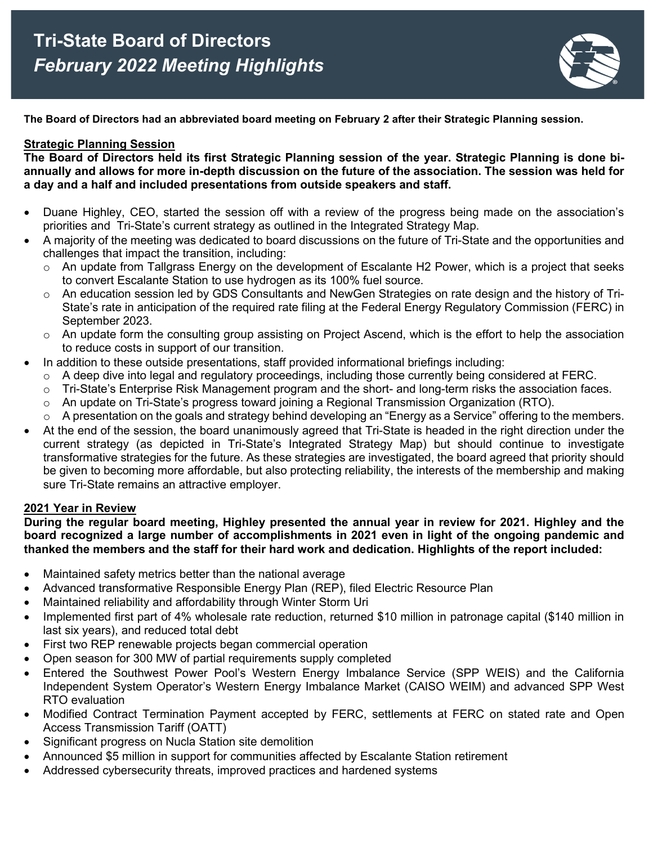

**The Board of Directors had an abbreviated board meeting on February 2 after their Strategic Planning session.** 

# **Strategic Planning Session**

**The Board of Directors held its first Strategic Planning session of the year. Strategic Planning is done biannually and allows for more in-depth discussion on the future of the association. The session was held for a day and a half and included presentations from outside speakers and staff.** 

- Duane Highley, CEO, started the session off with a review of the progress being made on the association's priorities and Tri-State's current strategy as outlined in the Integrated Strategy Map.
- A majority of the meeting was dedicated to board discussions on the future of Tri-State and the opportunities and challenges that impact the transition, including:
	- $\circ$  An update from Tallgrass Energy on the development of Escalante H2 Power, which is a project that seeks to convert Escalante Station to use hydrogen as its 100% fuel source.
	- An education session led by GDS Consultants and NewGen Strategies on rate design and the history of Tri-State's rate in anticipation of the required rate filing at the Federal Energy Regulatory Commission (FERC) in September 2023.
	- $\circ$  An update form the consulting group assisting on Project Ascend, which is the effort to help the association to reduce costs in support of our transition.
- In addition to these outside presentations, staff provided informational briefings including:
	- $\circ$  A deep dive into legal and regulatory proceedings, including those currently being considered at FERC.
	- $\circ$  Tri-State's Enterprise Risk Management program and the short- and long-term risks the association faces.
	- $\circ$  An update on Tri-State's progress toward joining a Regional Transmission Organization (RTO).
	- o A presentation on the goals and strategy behind developing an "Energy as a Service" offering to the members.
- At the end of the session, the board unanimously agreed that Tri-State is headed in the right direction under the current strategy (as depicted in Tri-State's Integrated Strategy Map) but should continue to investigate transformative strategies for the future. As these strategies are investigated, the board agreed that priority should be given to becoming more affordable, but also protecting reliability, the interests of the membership and making sure Tri-State remains an attractive employer.

# **2021 Year in Review**

**During the regular board meeting, Highley presented the annual year in review for 2021. Highley and the board recognized a large number of accomplishments in 2021 even in light of the ongoing pandemic and thanked the members and the staff for their hard work and dedication. Highlights of the report included:**

- Maintained safety metrics better than the national average
- Advanced transformative Responsible Energy Plan (REP), filed Electric Resource Plan
- Maintained reliability and affordability through Winter Storm Uri
- Implemented first part of 4% wholesale rate reduction, returned \$10 million in patronage capital (\$140 million in last six years), and reduced total debt
- First two REP renewable projects began commercial operation
- Open season for 300 MW of partial requirements supply completed
- Entered the Southwest Power Pool's Western Energy Imbalance Service (SPP WEIS) and the California Independent System Operator's Western Energy Imbalance Market (CAISO WEIM) and advanced SPP West RTO evaluation
- Modified Contract Termination Payment accepted by FERC, settlements at FERC on stated rate and Open Access Transmission Tariff (OATT)
- Significant progress on Nucla Station site demolition
- Announced \$5 million in support for communities affected by Escalante Station retirement
- Addressed cybersecurity threats, improved practices and hardened systems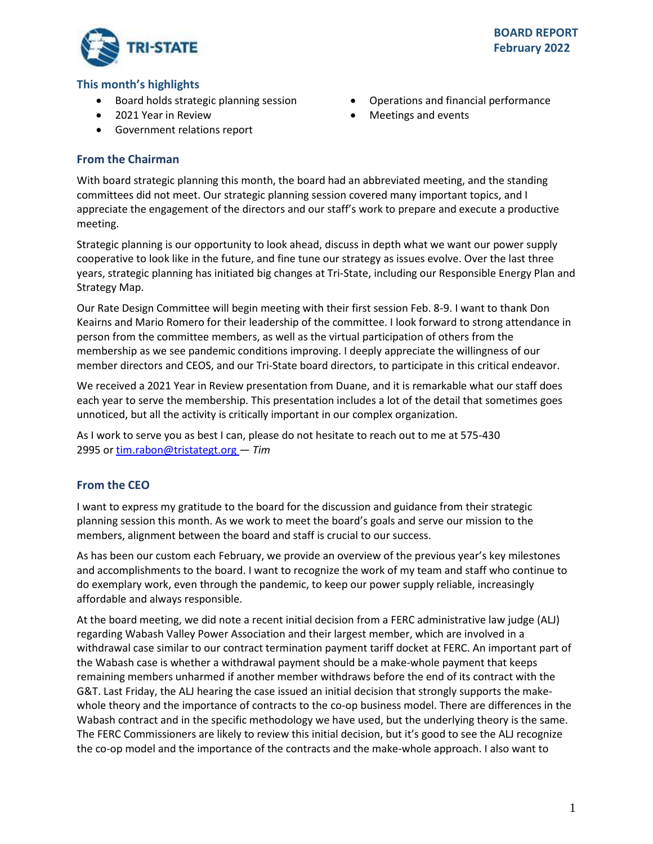

# **This month's highlights**

- Board holds strategic planning session
- 2021 Year in Review
- Government relations report

# **From the Chairman**

With board strategic planning this month, the board had an abbreviated meeting, and the standing committees did not meet. Our strategic planning session covered many important topics, and I

appreciate the engagement of the directors and our staff's work to prepare and execute a productive meeting.

Strategic planning is our opportunity to look ahead, discuss in depth what we want our power supply cooperative to look like in the future, and fine tune our strategy as issues evolve. Over the last three years, strategic planning has initiated big changes at Tri-State, including our Responsible Energy Plan and Strategy Map.

Our Rate Design Committee will begin meeting with their first session Feb. 8-9. I want to thank Don Keairns and Mario Romero for their leadership of the committee. I look forward to strong attendance in person from the committee members, as well as the virtual participation of others from the membership as we see pandemic conditions improving. I deeply appreciate the willingness of our member directors and CEOS, and our Tri-State board directors, to participate in this critical endeavor.

We received a 2021 Year in Review presentation from Duane, and it is remarkable what our staff does each year to serve the membership. This presentation includes a lot of the detail that sometimes goes unnoticed, but all the activity is critically important in our complex organization.

As I work to serve you as best I can, please do not hesitate to reach out to me at 575-430 2995 or[tim.rabon@tristategt.org —](mailto:tim.rabon@tristategt.org) *Tim*

# **From the CEO**

I want to express my gratitude to the board for the discussion and guidance from their strategic planning session this month. As we work to meet the board's goals and serve our mission to the members, alignment between the board and staff is crucial to our success.

As has been our custom each February, we provide an overview of the previous year's key milestones and accomplishments to the board. I want to recognize the work of my team and staff who continue to do exemplary work, even through the pandemic, to keep our power supply reliable, increasingly affordable and always responsible.

At the board meeting, we did note a recent initial decision from a FERC administrative law judge (ALJ) regarding Wabash Valley Power Association and their largest member, which are involved in a withdrawal case similar to our contract termination payment tariff docket at FERC. An important part of the Wabash case is whether a withdrawal payment should be a make-whole payment that keeps remaining members unharmed if another member withdraws before the end of its contract with the G&T. Last Friday, the ALJ hearing the case issued an initial decision that strongly supports the makewhole theory and the importance of contracts to the co-op business model. There are differences in the Wabash contract and in the specific methodology we have used, but the underlying theory is the same. The FERC Commissioners are likely to review this initial decision, but it's good to see the ALJ recognize the co-op model and the importance of the contracts and the make-whole approach. I also want to

- Operations and financial performance
- Meetings and events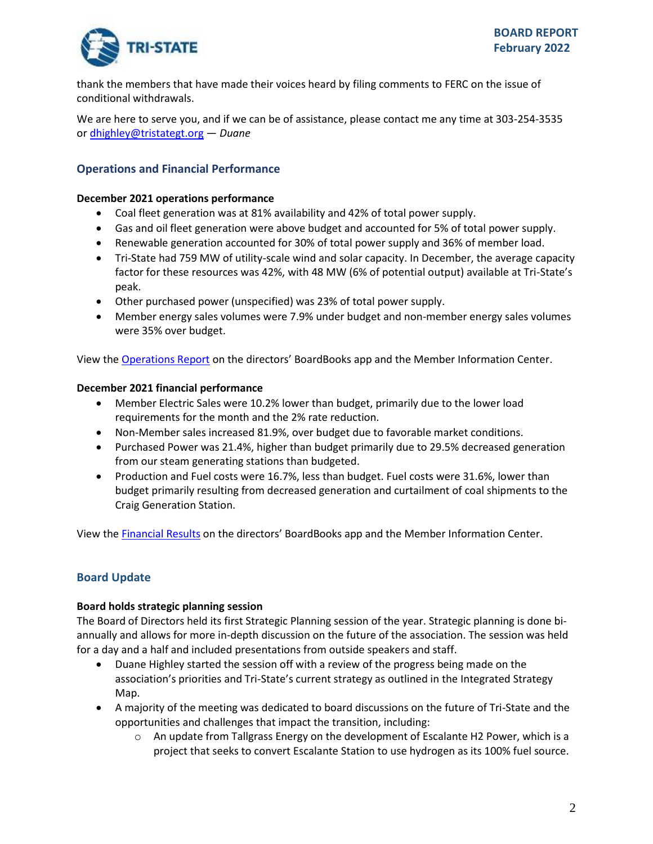

thank the members that have made their voices heard by filing comments to FERC on the issue of conditional withdrawals.

We are here to serve you, and if we can be of assistance, please contact me any time at 303-254-3535 or [dhighley@tristategt.org](mailto:dhighley@tristategt.org) — *Duane*  

# **Operations and Financial Performance**

#### **December 2021 operations performance**

- Coal fleet generation was at 81% availability and 42% of total power supply.
- Gas and oil fleet generation were above budget and accounted for 5% of total power supply.
- Renewable generation accounted for 30% of total power supply and 36% of member load.
- Tri-State had 759 MW of utility-scale wind and solar capacity. In December, the average capacity factor for these resources was 42%, with 48 MW (6% of potential output) available at Tri-State's peak.
- Other purchased power (unspecified) was 23% of total power supply.
- Member energy sales volumes were 7.9% under budget and non-member energy sales volumes were 35% over budget.

View the [Operations Report](https://mic.tristategt.org/Member%20Managers/2022-02-BOD-EO%20-%20Operations%20Report.pdf) on the directors' BoardBooks app and the Member [Information Center.](https://mic.tristategt.org/Member%20Managers/2020-08-BOD%20-%20Operations%20Report.pdf)

#### **December 2021 financial performance**

- Member Electric Sales were 10.2% lower than budget, primarily due to the lower load requirements for the month and the 2% rate reduction.
- Non-Member sales increased 81.9%, over budget due to favorable market conditions.
- Purchased Power was 21.4%, higher than budget primarily due to 29.5% decreased generation from our steam generating stations than budgeted.
- Production and Fuel costs were 16.7%, less than budget. Fuel costs were 31.6%, lower than budget primarily resulting from decreased generation and curtailment of coal shipments to the Craig Generation Station.

View the [Financial Results](https://mic.tristategt.org/Member%20Managers/2022-02-BOD-FIN%20-%20Financial%20Results.pdf) on the directors' BoardBooks app and the Member [I](https://mic.tristategt.org/Member%20Managers/2020-08-BOD%20-%20Operations%20Report.pdf)nformation Center.

# **Board Update**

#### **Board holds strategic planning session**

The Board of Directors held its first Strategic Planning session of the year. Strategic planning is done biannually and allows for more in-depth discussion on the future of the association. The session was held for a day and a half and included presentations from outside speakers and staff.

- Duane Highley started the session off with a review of the progress being made on the association's priorities and Tri-State's current strategy as outlined in the Integrated Strategy Map.
- A majority of the meeting was dedicated to board discussions on the future of Tri-State and the opportunities and challenges that impact the transition, including:
	- $\circ$  An update from Tallgrass Energy on the development of Escalante H2 Power, which is a project that seeks to convert Escalante Station to use hydrogen as its 100% fuel source.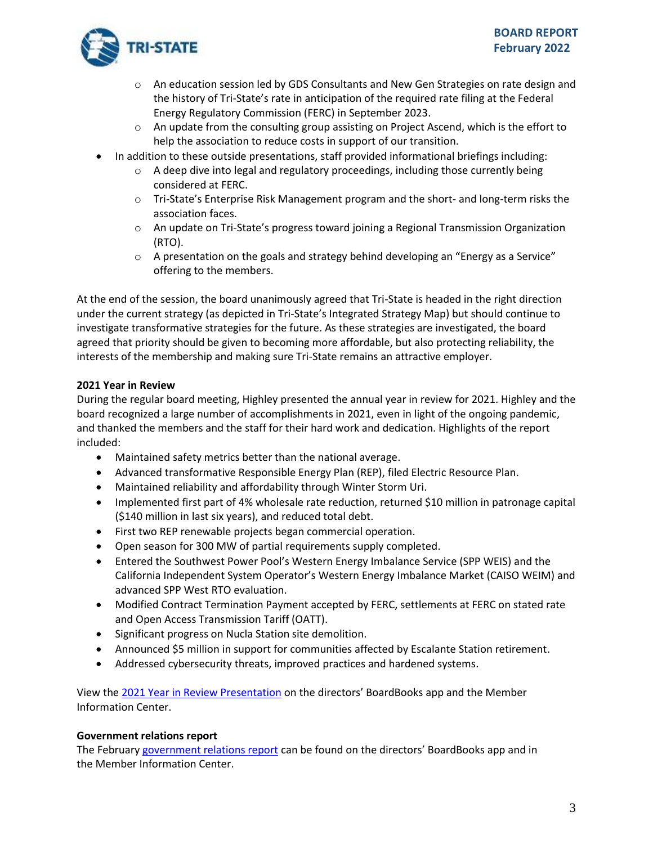

- $\circ$  An education session led by GDS Consultants and New Gen Strategies on rate design and the history of Tri-State's rate in anticipation of the required rate filing at the Federal Energy Regulatory Commission (FERC) in September 2023.
- $\circ$  An update from the consulting group assisting on Project Ascend, which is the effort to help the association to reduce costs in support of our transition.
- In addition to these outside presentations, staff provided informational briefings including:
	- $\circ$  A deep dive into legal and regulatory proceedings, including those currently being considered at FERC.
	- o Tri-State's Enterprise Risk Management program and the short- and long-term risks the association faces.
	- o An update on Tri-State's progress toward joining a Regional Transmission Organization (RTO).
	- $\circ$  A presentation on the goals and strategy behind developing an "Energy as a Service" offering to the members.

At the end of the session, the board unanimously agreed that Tri-State is headed in the right direction under the current strategy (as depicted in Tri-State's Integrated Strategy Map) but should continue to investigate transformative strategies for the future. As these strategies are investigated, the board agreed that priority should be given to becoming more affordable, but also protecting reliability, the interests of the membership and making sure Tri-State remains an attractive employer.

# **2021 Year in Review**

During the regular board meeting, Highley presented the annual year in review for 2021. Highley and the board recognized a large number of accomplishments in 2021, even in light of the ongoing pandemic, and thanked the members and the staff for their hard work and dedication. Highlights of the report included:

- Maintained safety metrics better than the national average.
- Advanced transformative Responsible Energy Plan (REP), filed Electric Resource Plan.
- Maintained reliability and affordability through Winter Storm Uri.
- Implemented first part of 4% wholesale rate reduction, returned \$10 million in patronage capital (\$140 million in last six years), and reduced total debt.
- First two REP renewable projects began commercial operation.
- Open season for 300 MW of partial requirements supply completed.
- Entered the Southwest Power Pool's Western Energy Imbalance Service (SPP WEIS) and the California Independent System Operator's Western Energy Imbalance Market (CAISO WEIM) and advanced SPP West RTO evaluation.
- Modified Contract Termination Payment accepted by FERC, settlements at FERC on stated rate and Open Access Transmission Tariff (OATT).
- Significant progress on Nucla Station site demolition.
- Announced \$5 million in support for communities affected by Escalante Station retirement.
- Addressed cybersecurity threats, improved practices and hardened systems.

View the [2021 Year in Review Presentation](https://mic.tristategt.org/Member%20Managers/2022-02-BOD%20-%202021%20Year%20In%20Review.pdf) on the directors' BoardBooks app and the Membe[r](https://mic.tristategt.org/Member%20Managers/2020-08-BOD%20-%20Operations%20Report.pdf) Information Center.

# **Government relations report**

The February [government relations report](https://mic.tristategt.org/Member%20Managers/GR%20Report.pdf) can be found on the directors' BoardBooks app and in the Member Information Center.